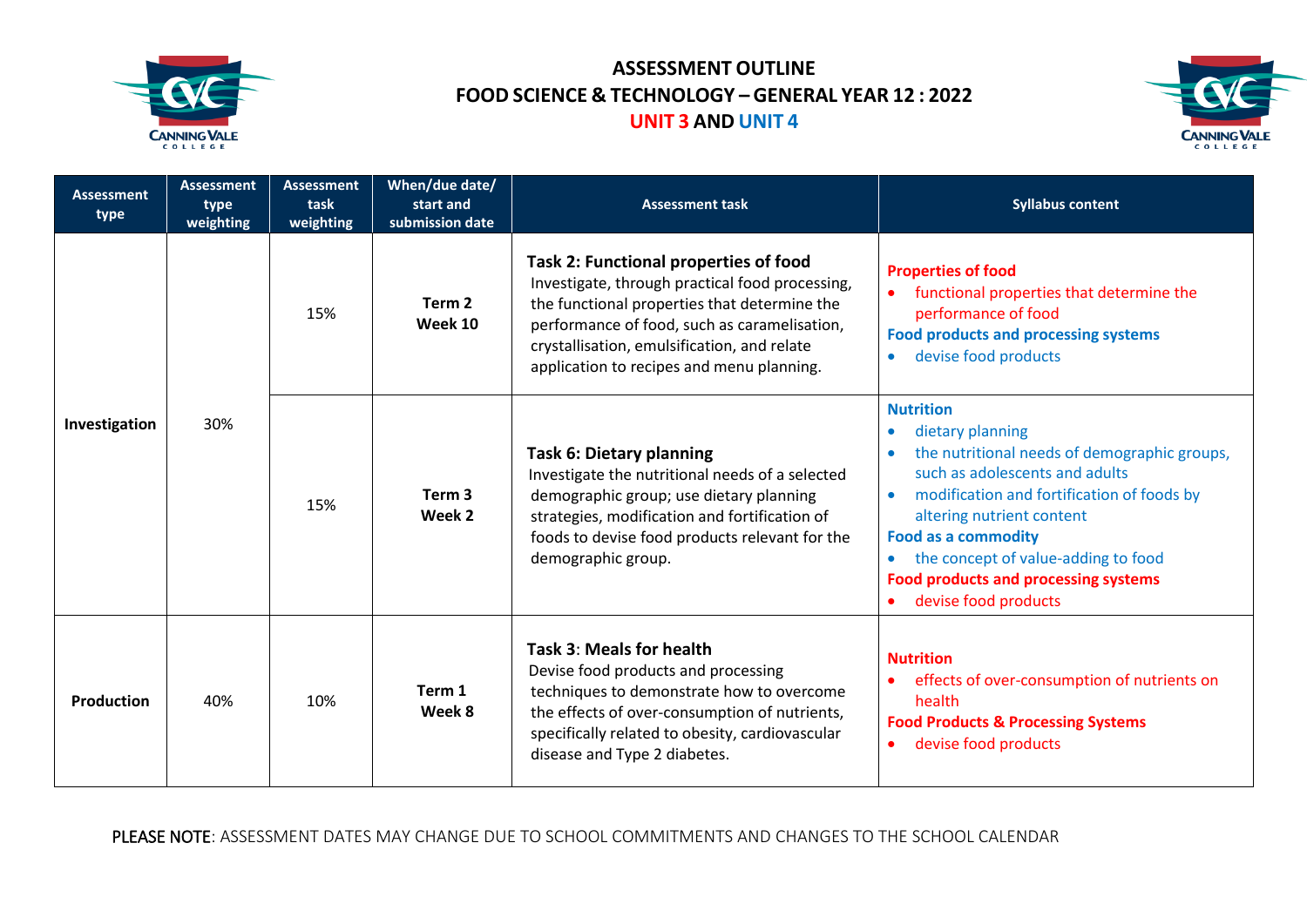



| <b>Assessment</b><br>type | <b>Assessment</b><br>type<br>weighting | <b>Assessment</b><br>task<br>weighting | When/due date/<br>start and<br>submission date | <b>Assessment task</b>                                                                                                                                                                                                                                                                      | <b>Syllabus content</b>                                                                                                                                                                                                                                                                                                                                                                           |
|---------------------------|----------------------------------------|----------------------------------------|------------------------------------------------|---------------------------------------------------------------------------------------------------------------------------------------------------------------------------------------------------------------------------------------------------------------------------------------------|---------------------------------------------------------------------------------------------------------------------------------------------------------------------------------------------------------------------------------------------------------------------------------------------------------------------------------------------------------------------------------------------------|
| Investigation             | 30%                                    | 15%                                    | Term <sub>2</sub><br>Week 10                   | <b>Task 2: Functional properties of food</b><br>Investigate, through practical food processing,<br>the functional properties that determine the<br>performance of food, such as caramelisation,<br>crystallisation, emulsification, and relate<br>application to recipes and menu planning. | <b>Properties of food</b><br>functional properties that determine the<br>$\bullet$<br>performance of food<br><b>Food products and processing systems</b><br>devise food products<br>$\bullet$                                                                                                                                                                                                     |
|                           |                                        | 15%                                    | Term <sub>3</sub><br>Week 2                    | <b>Task 6: Dietary planning</b><br>Investigate the nutritional needs of a selected<br>demographic group; use dietary planning<br>strategies, modification and fortification of<br>foods to devise food products relevant for the<br>demographic group.                                      | <b>Nutrition</b><br>dietary planning<br>$\bullet$<br>the nutritional needs of demographic groups,<br>such as adolescents and adults<br>modification and fortification of foods by<br>$\bullet$<br>altering nutrient content<br><b>Food as a commodity</b><br>the concept of value-adding to food<br>$\bullet$<br><b>Food products and processing systems</b><br>devise food products<br>$\bullet$ |
| <b>Production</b>         | 40%                                    | 10%                                    | Term 1<br>Week 8                               | Task 3: Meals for health<br>Devise food products and processing<br>techniques to demonstrate how to overcome<br>the effects of over-consumption of nutrients,<br>specifically related to obesity, cardiovascular<br>disease and Type 2 diabetes.                                            | <b>Nutrition</b><br>effects of over-consumption of nutrients on<br>$\bullet$<br>health<br><b>Food Products &amp; Processing Systems</b><br>devise food products<br>$\bullet$                                                                                                                                                                                                                      |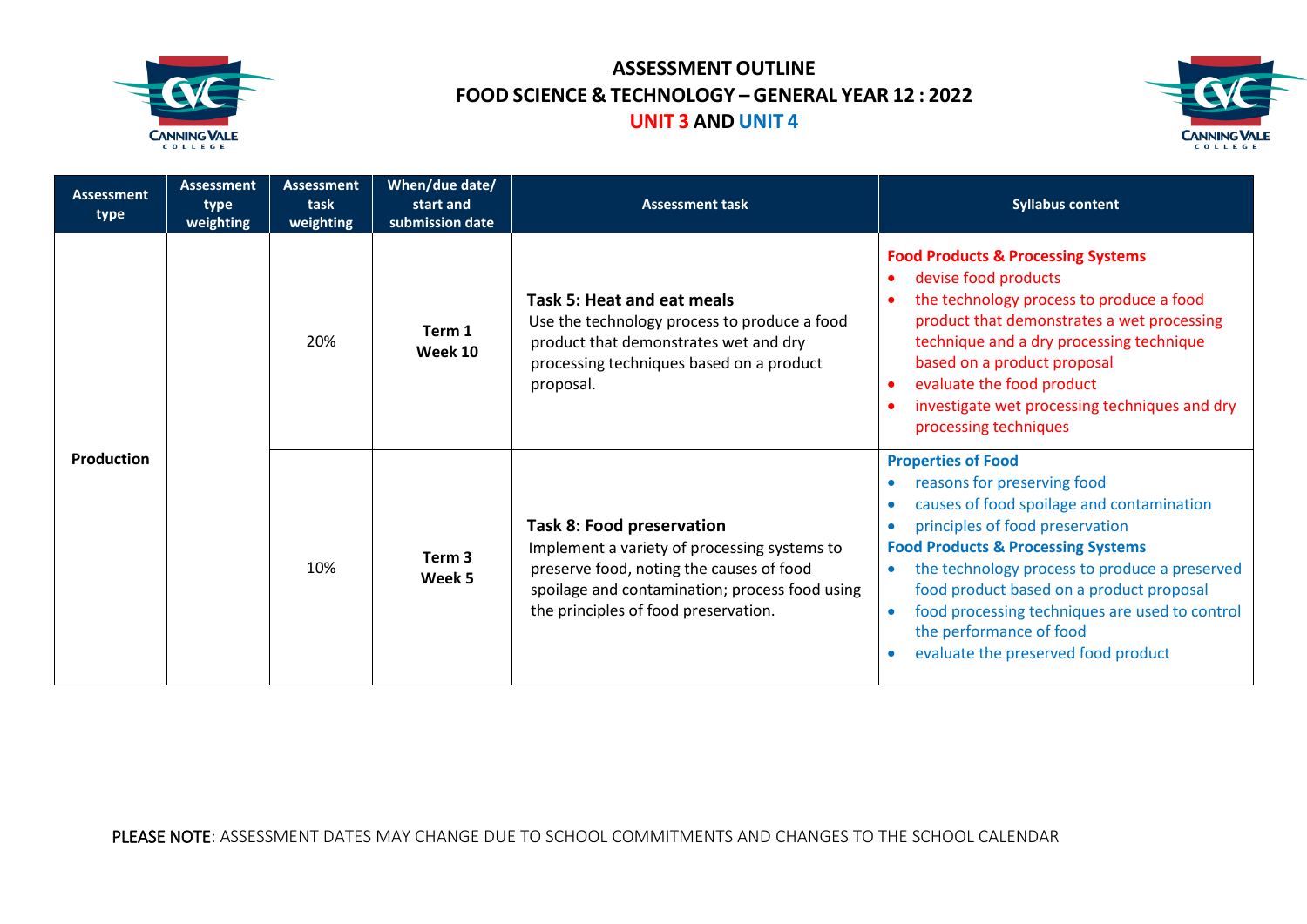



| <b>Assessment</b><br>type | <b>Assessment</b><br>type<br>weighting | <b>Assessment</b><br>task<br>weighting | When/due date/<br>start and<br>submission date | <b>Assessment task</b>                                                                                                                                                                                                 | <b>Syllabus content</b>                                                                                                                                                                                                                                                                                                                                                                                                              |
|---------------------------|----------------------------------------|----------------------------------------|------------------------------------------------|------------------------------------------------------------------------------------------------------------------------------------------------------------------------------------------------------------------------|--------------------------------------------------------------------------------------------------------------------------------------------------------------------------------------------------------------------------------------------------------------------------------------------------------------------------------------------------------------------------------------------------------------------------------------|
| <b>Production</b>         |                                        | 20%                                    | Term 1<br><b>Week 10</b>                       | Task 5: Heat and eat meals<br>Use the technology process to produce a food<br>product that demonstrates wet and dry<br>processing techniques based on a product<br>proposal.                                           | <b>Food Products &amp; Processing Systems</b><br>devise food products<br>the technology process to produce a food<br>product that demonstrates a wet processing<br>technique and a dry processing technique<br>based on a product proposal<br>evaluate the food product<br>investigate wet processing techniques and dry<br>processing techniques                                                                                    |
|                           |                                        | 10%                                    | Term <sub>3</sub><br>Week 5                    | <b>Task 8: Food preservation</b><br>Implement a variety of processing systems to<br>preserve food, noting the causes of food<br>spoilage and contamination; process food using<br>the principles of food preservation. | <b>Properties of Food</b><br>reasons for preserving food<br>causes of food spoilage and contamination<br>principles of food preservation<br><b>Food Products &amp; Processing Systems</b><br>the technology process to produce a preserved<br>$\bullet$<br>food product based on a product proposal<br>food processing techniques are used to control<br>$\bullet$<br>the performance of food<br>evaluate the preserved food product |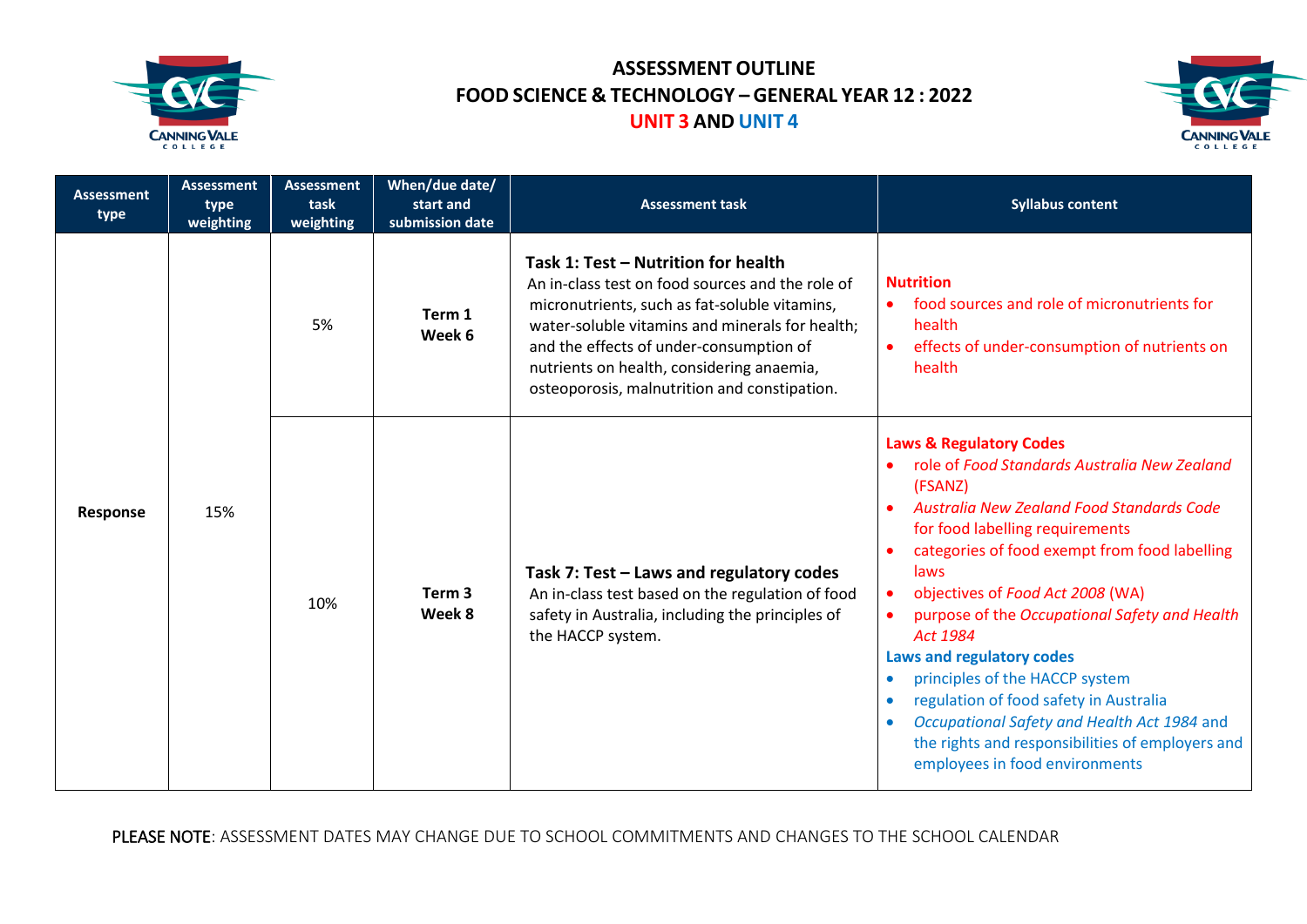



| <b>Assessment</b><br>type | <b>Assessment</b><br>type<br>weighting | <b>Assessment</b><br>task<br>weighting | When/due date/<br>start and<br>submission date | <b>Assessment task</b>                                                                                                                                                                                                                                                                                                              | <b>Syllabus content</b>                                                                                                                                                                                                                                                                                                                                                                                                                                                                                                                                                                                                                                                   |
|---------------------------|----------------------------------------|----------------------------------------|------------------------------------------------|-------------------------------------------------------------------------------------------------------------------------------------------------------------------------------------------------------------------------------------------------------------------------------------------------------------------------------------|---------------------------------------------------------------------------------------------------------------------------------------------------------------------------------------------------------------------------------------------------------------------------------------------------------------------------------------------------------------------------------------------------------------------------------------------------------------------------------------------------------------------------------------------------------------------------------------------------------------------------------------------------------------------------|
| Response                  | 15%                                    | 5%                                     | Term 1<br>Week 6                               | Task 1: Test - Nutrition for health<br>An in-class test on food sources and the role of<br>micronutrients, such as fat-soluble vitamins,<br>water-soluble vitamins and minerals for health;<br>and the effects of under-consumption of<br>nutrients on health, considering anaemia,<br>osteoporosis, malnutrition and constipation. | <b>Nutrition</b><br>food sources and role of micronutrients for<br>$\bullet$<br>health<br>effects of under-consumption of nutrients on<br>$\bullet$<br>health                                                                                                                                                                                                                                                                                                                                                                                                                                                                                                             |
|                           |                                        | 10%                                    | Term <sub>3</sub><br>Week 8                    | Task 7: Test - Laws and regulatory codes<br>An in-class test based on the regulation of food<br>safety in Australia, including the principles of<br>the HACCP system.                                                                                                                                                               | <b>Laws &amp; Regulatory Codes</b><br>role of Food Standards Australia New Zealand<br>$\bullet$<br>(FSANZ)<br><b>Australia New Zealand Food Standards Code</b><br>$\bullet$<br>for food labelling requirements<br>categories of food exempt from food labelling<br>laws<br>objectives of Food Act 2008 (WA)<br>٠<br>purpose of the Occupational Safety and Health<br>$\bullet$<br>Act 1984<br><b>Laws and regulatory codes</b><br>principles of the HACCP system<br>regulation of food safety in Australia<br>$\bullet$<br>Occupational Safety and Health Act 1984 and<br>$\bullet$<br>the rights and responsibilities of employers and<br>employees in food environments |